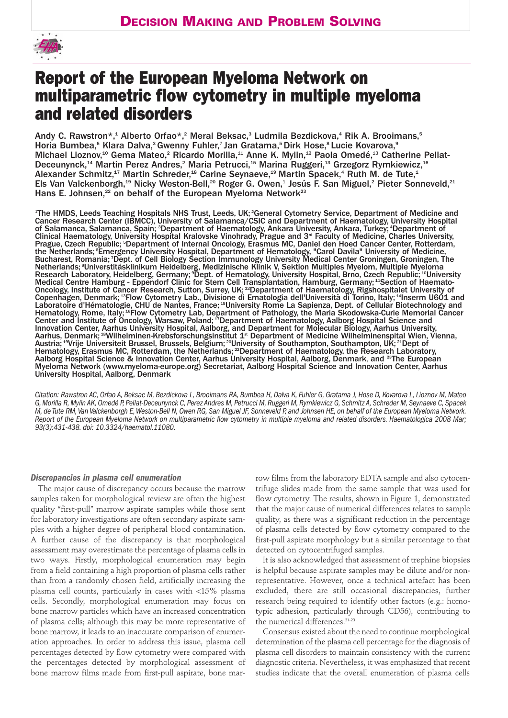

# **Report of the European Myeloma Network on multiparametric flow cytometry in multiple myeloma and related disorders**

Andy C. Rawstron\*,<sup>1</sup> Alberto Orfao\*,<sup>2</sup> Meral Beksac,<sup>3</sup> Ludmila Bezdickova,<sup>4</sup> Rik A. Brooimans,<sup>5</sup> Horia Bumbea,<sup>6</sup> Klara Dalva,<sup>3</sup> Gwenny Fuhler,<sup>7</sup> Jan Gratama,<sup>5</sup> Dirk Hose,<sup>8</sup> Lucie Kovarova,<sup>9</sup> Michael Lioznov,<sup>10</sup> Gema Mateo,<sup>2</sup> Ricardo Morilla,<sup>11</sup> Anne K. Mylin,<sup>12</sup> Paola Omedé,<sup>13</sup> Catherine Pellat-Deceunynck,<sup>14</sup> Martin Perez Andres,<sup>2</sup> Maria Petrucci,<sup>15</sup> Marina Ruggeri,<sup>13</sup> Grzegorz Rymkiewicz,<sup>16</sup> Alexander Schmitz,<sup>17</sup> Martin Schreder,<sup>18</sup> Carine Seynaeve,<sup>19</sup> Martin Spacek,<sup>4</sup> Ruth M. de Tute,<sup>1</sup> Els Van Valckenborgh,19 Nicky Weston-Bell,20 Roger G. Owen,1 Jesús F. San Miguel,2 Pieter Sonneveld,21 Hans E. Johnsen,<sup>22</sup> on behalf of the European Myeloma Network<sup>23</sup>

<sup>1</sup>The HMDS, Leeds Teaching Hospitals NHS Trust, Leeds, UK; <sup>2</sup>General Cytometry Service, Department of Medicine and Cancer Research Center (IBMCC), University of Salamanca/CSIC and Department of Haematology, University Hospital of Salamanca, Salamanca, Spain, <sup>3</sup>Department of Haematology, Ankara University, Ankara, Turkey; <sup>4</sup>Department of Clinical Haematology, University Hospital Kralovske Vinohrady, Prague and 3<sup>rd</sup> Faculty of Medicine, Charles University, Prague, Czech Republic; <sup>s</sup>Department of Internal Oncology, Erasmus MC, Daniel den Hoed Cancer Center, Rotterdam, the Netherlands; <sup>e</sup>Emergency University Hospital, Department of Hematology, "Carol Davila" University of Medicine, Bucharest, Romania; *Dept. of Cell Biology Section Immunology University Medical Center Groningen, Groningen, The* Netherlands; <sup>8</sup> Universtitäsklinikum Heidelberg, Medizinische Klinik V, Sektion Multiples Myelom, Multiple Myeloma Research Laboratory, Heidelberg, Germany; <sup>9</sup>Dept. of Hematology, University Hospital, Brno, Czech Republic; <sup>10</sup>University Medical Centre Hamburg - Eppendorf Clinic for Stem Cell Transplantation, Hamburg, Germany; 11Section of Haemato-Oncology, Institute of Cancer Research, Sutton, Surrey, UK; 12Department of Haematology, Rigshospitalet University of Copenhagen, Denmark; 13Flow Cytometry Lab., Divisione di Ematologia dell'Università di Torino, Italy; 14Inserm U601 and Laboratoire d'Hématologie, CHU de Nantes, France; 15University Rome La Sapienza, Dept. of Cellular Biotechnology and Hematology, Rome, Italy; 16Flow Cytometry Lab, Department of Pathology, the Maria Skodowska-Curie Memorial Cancer Center and Institute of Oncology, Warsaw, Poland; <sup>17</sup>Department of Haematology, Aalborg Hospital Science and Innovation Center, Aarhus University Hospital, Aalborg, and Department for Molecular Biology, Aarhus University, Aarhus, Denmark; 18Wilhelminen-Krebsforschungsinstitut 1.<sup>st</sup> Department of Medicine Wilhelminenspital Wien, Vienna, Austria; 19Vrije Universiteit Brussel, Brussels, Belgium; 20University of Southampton, Southampton, UK; 21Dept of Hematology, Erasmus MC, Rotterdam, the Netherlands; <sup>22</sup>Department of Haematology, the Research Laboratory, Aalborg Hospital Science & Innovation Center, Aarhus University Hospital, Aalborg, Denmark, and 23The European Myeloma Network (www.myeloma-europe.org) Secretariat, Aalborg Hospital, Aalborg, Denmark, and <sup>23</sup>The European Myeloma Network (www.myeloma-europe.org) Secretariat, Aalborg Hospital Science and Innovation Center, Aarhus University Hospital, Aalborg, Denmark

*Citation: Rawstron AC, Orfao A, Beksac M, Bezdickova L, Brooimans RA, Bumbea H, Dalva K, Fuhler G, Gratama J, Hose D, Kovarova L, Lioznov M, Mateo G, Morilla R, Mylin AK, Omedé P, Pellat-Deceunynck C, Perez Andres M, Petrucci M, Ruggeri M, Rymkiewicz G, Schmitz A, Schreder M, Seynaeve C, Spacek M, de Tute RM,Van Valckenborgh E,Weston-Bell N, Owen RG, San Miguel JF, Sonneveld P, and Johnsen HE, on behalf of the European Myeloma Network. Report of the European Myeloma Network on multiparametric flow cytometry in multiple myeloma and related disorders. Haematologica 2008 Mar; 93(3):431-438. doi: 10.3324/haematol.11080.*

#### *Discrepancies in plasma cell enumeration*

The major cause of discrepancy occurs because the marrow samples taken for morphological review are often the highest quality "first-pull" marrow aspirate samples while those sent for laboratory investigations are often secondary aspirate samples with a higher degree of peripheral blood contamination. A further cause of the discrepancy is that morphological assessment may overestimate the percentage of plasma cells in two ways. Firstly, morphological enumeration may begin from a field containing a high proportion of plasma cells rather than from a randomly chosen field, artificially increasing the plasma cell counts, particularly in cases with <15% plasma cells. Secondly, morphological enumeration may focus on bone marrow particles which have an increased concentration of plasma cells; although this may be more representative of bone marrow, it leads to an inaccurate comparison of enumeration approaches. In order to address this issue, plasma cell percentages detected by flow cytometry were compared with the percentages detected by morphological assessment of bone marrow films made from first-pull aspirate, bone marrow films from the laboratory EDTA sample and also cytocentrifuge slides made from the same sample that was used for flow cytometry. The results, shown in Figure 1, demonstrated that the major cause of numerical differences relates to sample quality, as there was a significant reduction in the percentage of plasma cells detected by flow cytometry compared to the first-pull aspirate morphology but a similar percentage to that detected on cytocentrifuged samples.

It is also acknowledged that assessment of trephine biopsies is helpful because aspirate samples may be dilute and/or nonrepresentative. However, once a technical artefact has been excluded, there are still occasional discrepancies, further research being required to identify other factors (e.g.: homotypic adhesion, particularly through CD56), contributing to the numerical differences.<sup>21-23</sup>

Consensus existed about the need to continue morphological determination of the plasma cell percentage for the diagnosis of plasma cell disorders to maintain consistency with the current diagnostic criteria. Nevertheless, it was emphasized that recent studies indicate that the overall enumeration of plasma cells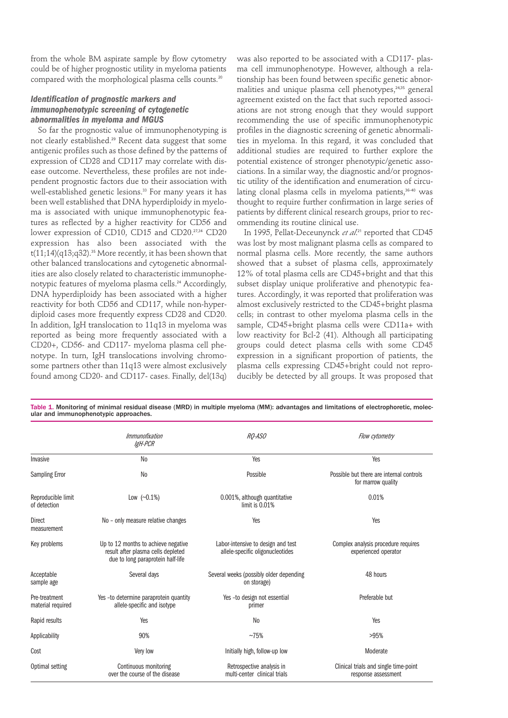from the whole BM aspirate sample by flow cytometry could be of higher prognostic utility in myeloma patients compared with the morphological plasma cells counts.<sup>20</sup>

### *Identification of prognostic markers and immunophenotypic screening of cytogenetic abnormalities in myeloma and MGUS*

So far the prognostic value of immunophenotyping is not clearly established.<sup>29</sup> Recent data suggest that some antigenic profiles such as those defined by the patterns of expression of CD28 and CD117 may correlate with disease outcome. Nevertheless, these profiles are not independent prognostic factors due to their association with well-established genetic lesions.<sup>33</sup> For many years it has been well established that DNA hyperdiploidy in myeloma is associated with unique immunophenotypic features as reflected by a higher reactivity for CD56 and lower expression of CD10, CD15 and CD20.27,34 CD20 expression has also been associated with the  $t(11;14)(q13;q32).$ <sup>35</sup> More recently, it has been shown that other balanced translocations and cytogenetic abnormalities are also closely related to characteristic immunophenotypic features of myeloma plasma cells.<sup>24</sup> Accordingly, DNA hyperdiploidy has been associated with a higher reactivity for both CD56 and CD117, while non-hyperdiploid cases more frequently express CD28 and CD20. In addition, IgH translocation to 11q13 in myeloma was reported as being more frequently associated with a CD20+, CD56- and CD117- myeloma plasma cell phenotype. In turn, IgH translocations involving chromosome partners other than 11q13 were almost exclusively found among CD20- and CD117- cases. Finally, del(13q)

was also reported to be associated with a CD117- plasma cell immunophenotype. However, although a relationship has been found between specific genetic abnormalities and unique plasma cell phenotypes,<sup>24,35</sup> general agreement existed on the fact that such reported associations are not strong enough that they would support recommending the use of specific immunophenotypic profiles in the diagnostic screening of genetic abnormalities in myeloma. In this regard, it was concluded that additional studies are required to further explore the potential existence of stronger phenotypic/genetic associations. In a similar way, the diagnostic and/or prognostic utility of the identification and enumeration of circulating clonal plasma cells in myeloma patients,<sup>36-40</sup> was thought to require further confirmation in large series of patients by different clinical research groups, prior to recommending its routine clinical use.

In 1995, Pellat-Deceunynck *et al*. <sup>21</sup> reported that CD45 was lost by most malignant plasma cells as compared to normal plasma cells. More recently, the same authors showed that a subset of plasma cells, approximately 12% of total plasma cells are CD45+bright and that this subset display unique proliferative and phenotypic features. Accordingly, it was reported that proliferation was almost exclusively restricted to the CD45+bright plasma cells; in contrast to other myeloma plasma cells in the sample, CD45+bright plasma cells were CD11a+ with low reactivity for Bcl-2 (41). Although all participating groups could detect plasma cells with some CD45 expression in a significant proportion of patients, the plasma cells expressing CD45+bright could not reproducibly be detected by all groups. It was proposed that

|                                    | Immunofixation<br>IgH-PCR                                                                                      | RO-ASO                                                                 | Flow cytometry                                                 |
|------------------------------------|----------------------------------------------------------------------------------------------------------------|------------------------------------------------------------------------|----------------------------------------------------------------|
| Invasive                           | N <sub>0</sub>                                                                                                 | Yes                                                                    | Yes                                                            |
| <b>Sampling Error</b>              | N <sub>0</sub>                                                                                                 | Possible                                                               | Possible but there are internal controls<br>for marrow quality |
| Reproducible limit<br>of detection | Low $(\sim 0.1\%)$                                                                                             | 0.001%, although quantitative<br>limit is $0.01%$                      | 0.01%                                                          |
| <b>Direct</b><br>measurement       | No - only measure relative changes                                                                             | Yes                                                                    | Yes                                                            |
| Key problems                       | Up to 12 months to achieve negative<br>result after plasma cells depleted<br>due to long paraprotein half-life | Labor-intensive to design and test<br>allele-specific oligonucleotides | Complex analysis procedure requires<br>experienced operator    |
| Acceptable<br>sample age           | Several days                                                                                                   | Several weeks (possibly older depending<br>on storage)                 | 48 hours                                                       |
| Pre-treatment<br>material required | Yes -to determine paraprotein quantity<br>allele-specific and isotype                                          | Yes -to design not essential<br>primer                                 | Preferable but                                                 |
| Rapid results                      | Yes                                                                                                            | N <sub>0</sub>                                                         | Yes                                                            |
| Applicability                      | 90%                                                                                                            | ~175%                                                                  | >95%                                                           |
| Cost                               | Very low                                                                                                       | Initially high, follow-up low                                          | Moderate                                                       |
| Optimal setting                    | Continuous monitoring<br>over the course of the disease                                                        | Retrospective analysis in<br>multi-center clinical trials              | Clinical trials and single time-point<br>response assessment   |

Table 1. Monitoring of minimal residual disease (MRD) in multiple myeloma (MM): advantages and limitations of electrophoretic, molecular and immunophenotypic approaches.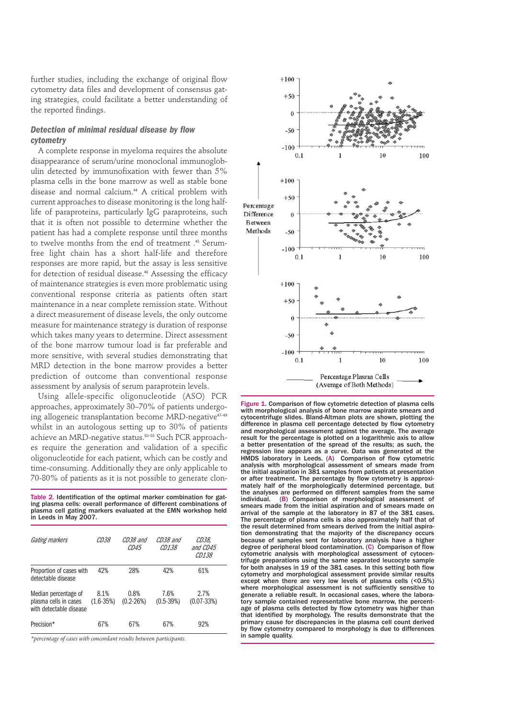further studies, including the exchange of original flow cytometry data files and development of consensus gating strategies, could facilitate a better understanding of the reported findings.

## *Detection of minimal residual disease by flow cytometry*

A complete response in myeloma requires the absolute disappearance of serum/urine monoclonal immunoglobulin detected by immunofixation with fewer than 5% plasma cells in the bone marrow as well as stable bone disease and normal calcium.<sup>44</sup> A critical problem with current approaches to disease monitoring is the long halflife of paraproteins, particularly IgG paraproteins, such that it is often not possible to determine whether the patient has had a complete response until three months to twelve months from the end of treatment .<sup>45</sup> Serumfree light chain has a short half-life and therefore responses are more rapid, but the assay is less sensitive for detection of residual disease.<sup>46</sup> Assessing the efficacy of maintenance strategies is even more problematic using conventional response criteria as patients often start maintenance in a near complete remission state. Without a direct measurement of disease levels, the only outcome measure for maintenance strategy is duration of response which takes many years to determine. Direct assessment of the bone marrow tumour load is far preferable and more sensitive, with several studies demonstrating that MRD detection in the bone marrow provides a better prediction of outcome than conventional response assessment by analysis of serum paraprotein levels.

Using allele-specific oligonucleotide (ASO) PCR approaches, approximately 30–70% of patients undergoing allogeneic transplantation become MRD-negative<sup>47-49</sup> whilst in an autologous setting up to 30% of patients achieve an MRD-negative status.50-55 Such PCR approaches require the generation and validation of a specific oligonucleotide for each patient, which can be costly and time-consuming. Additionally they are only applicable to 70-80% of patients as it is not possible to generate clon-

Table 2. Identification of the optimal marker combination for gating plasma cells: overall performance of different combinations of plasma cell gating markers evaluated at the EMN workshop held in Leeds in May 2007.

| Gating markers                                                           | CD38                  | CD38 and<br>CD45      | CD38 and<br><i>CD138</i> | CD38,<br>and CD45<br><i>CD138</i> |
|--------------------------------------------------------------------------|-----------------------|-----------------------|--------------------------|-----------------------------------|
| Proportion of cases with<br>detectable disease                           | 42%                   | 28%                   | 42%                      | 61%                               |
| Median percentage of<br>plasma cells in cases<br>with detectable disease | 8.1%<br>$(1.6 - 35%)$ | 0.8%<br>$(0.2 - 26%)$ | 7.6%<br>$(0.5 - 39%)$    | 2.7%<br>$(0.07 - 33%)$            |
| Precision*                                                               | 67%                   | 67%                   | 67%                      | 92%                               |

*\*percentage of cases with concordant results between participants.* 



Figure 1. Comparison of flow cytometric detection of plasma cells with morphological analysis of bone marrow aspirate smears and cytocentrifuge slides. Bland-Altman plots are shown, plotting the difference in plasma cell percentage detected by flow cytometry and morphological assessment against the average. The average result for the percentage is plotted on a logarithmic axis to allow a better presentation of the spread of the results; as such, the regression line appears as a curve. Data was generated at the HMDS laboratory in Leeds. (A) Comparison of flow cytometric analysis with morphological assessment of smears made from the initial aspiration in 381 samples from patients at presentation or after treatment. The percentage by flow cytometry is approximately half of the morphologically determined percentage, but the analyses are performed on different samples from the same individual. (B) Comparison of morphological assessment of smears made from the initial aspiration and of smears made on arrival of the sample at the laboratory in 87 of the 381 cases. The percentage of plasma cells is also approximately half that of the result determined from smears derived from the initial aspiration demonstrating that the majority of the discrepancy occurs because of samples sent for laboratory analysis have a higher degree of peripheral blood contamination. (C) Comparison of flow cytometric analysis with morphological assessment of cytocentrifuge preparations using the same separated leucocyte sample for both analyses in 19 of the 381 cases. In this setting both flow cytometry and morphological assessment provide similar results except when there are very low levels of plasma cells (<0.5%) where morphological assessment is not sufficiently sensitive to generate a reliable result. In occasional cases, where the laboratory sample contained representative bone marrow, the percentage of plasma cells detected by flow cytometry was higher than that identified by morphology. The results demonstrate that the primary cause for discrepancies in the plasma cell count derived by flow cytometry compared to morphology is due to differences in sample quality.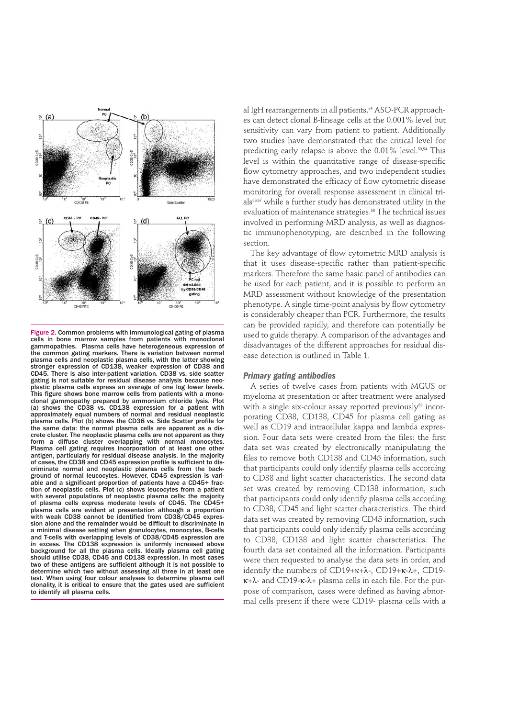

Figure 2. Common problems with immunological gating of plasma cells in bone marrow samples from patients with monoclonal gammopathies. Plasma cells have heterogeneous expression of the common gating markers. There is variation between normal plasma cells and neoplastic plasma cells, with the latter showing stronger expression of CD138, weaker expression of CD38 and CD45. There is also inter-patient variation. CD38 vs. side scatter gating is not suitable for residual disease analysis because neoplastic plasma cells express an average of one log lower levels. This figure shows bone marrow cells from patients with a monoclonal gammopathy prepared by ammonium chloride lysis. Plot (a) shows the CD38 vs. CD138 expression for a patient with approximately equal numbers of normal and residual neoplastic plasma cells. Plot (b) shows the CD38 vs. Side Scatter profile for the same data: the normal plasma cells are apparent as a discrete cluster. The neoplastic plasma cells are not apparent as they form a diffuse cluster overlapping with normal monocytes. Plasma cell gating requires incorporation of at least one other antigen, particularly for residual disease analysis. In the majority of cases, the CD38 and CD45 expression profile is sufficient to discriminate normal and neoplastic plasma cells from the background of normal leucocytes. However, CD45 expression is variable and a significant proportion of patients have a CD45+ fraction of neoplastic cells. Plot (c) shows leucocytes from a patient with several populations of neoplastic plasma cells: the majority of plasma cells express moderate levels of CD45. The CD45+ plasma cells are evident at presentation although a proportion with weak CD38 cannot be identified from CD38/CD45 expression alone and the remainder would be difficult to discriminate in a minimal disease setting when granulocytes, monocytes, B-cells and T-cells with overlapping levels of CD38/CD45 expression are in excess. The CD138 expression is uniformly increased above background for all the plasma cells. Ideally plasma cell gating should utilise CD38, CD45 and CD138 expression. In most cases two of these antigens are sufficient although it is not possible to determine which two without assessing all three in at least one test. When using four colour analyses to determine plasma cell clonality, it is critical to ensure that the gates used are sufficient to identify all plasma cells.

al IgH rearrangements in all patients.<sup>54</sup> ASO-PCR approaches can detect clonal B-lineage cells at the 0.001% level but sensitivity can vary from patient to patient. Additionally two studies have demonstrated that the critical level for predicting early relapse is above the  $0.01\%$  level.<sup>50,54</sup> This level is within the quantitative range of disease-specific flow cytometry approaches, and two independent studies have demonstrated the efficacy of flow cytometric disease monitoring for overall response assessment in clinical trials56,57 while a further study has demonstrated utility in the evaluation of maintenance strategies.<sup>58</sup> The technical issues involved in performing MRD analysis, as well as diagnostic immunophenotyping, are described in the following section.

The key advantage of flow cytometric MRD analysis is that it uses disease-specific rather than patient-specific markers. Therefore the same basic panel of antibodies can be used for each patient, and it is possible to perform an MRD assessment without knowledge of the presentation phenotype. A single time-point analysis by flow cytometry is considerably cheaper than PCR. Furthermore, the results can be provided rapidly, and therefore can potentially be used to guide therapy. A comparison of the advantages and disadvantages of the different approaches for residual disease detection is outlined in Table 1.

#### *Primary gating antibodies*

A series of twelve cases from patients with MGUS or myeloma at presentation or after treatment were analysed with a single six-colour assay reported previously<sup>59</sup> incorporating CD38, CD138, CD45 for plasma cell gating as well as CD19 and intracellular kappa and lambda expression. Four data sets were created from the files: the first data set was created by electronically manipulating the files to remove both CD138 and CD45 information, such that participants could only identify plasma cells according to CD38 and light scatter characteristics. The second data set was created by removing CD138 information, such that participants could only identify plasma cells according to CD38, CD45 and light scatter characteristics. The third data set was created by removing CD45 information, such that participants could only identify plasma cells according to CD38, CD138 and light scatter characteristics. The fourth data set contained all the information. Participants were then requested to analyse the data sets in order, and identify the numbers of CD19+κ+λ-, CD19+κ-λ+, CD19 κ+λ- and CD19-κ-λ+ plasma cells in each file. For the purpose of comparison, cases were defined as having abnormal cells present if there were CD19- plasma cells with a